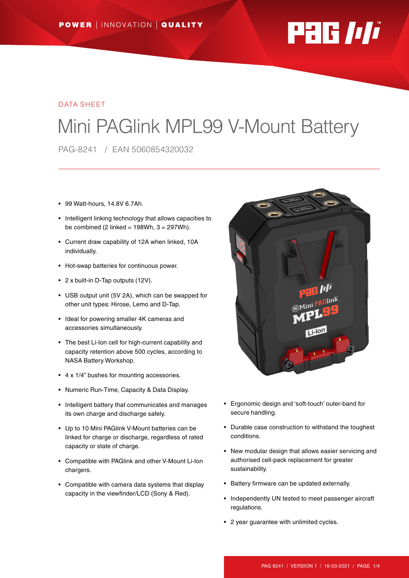

#### DATA SHEET

# Mini PAGlink MPL99 V-Mount Battery

PAG-8241 / EAN 5060854320032

- 99 Watt-hours, 14.8V 6.7Ah.
- Intelligent linking technology that allows capacities to be combined (2 linked =  $198Wh$ ,  $3 = 297Wh$ ).
- Current draw capability of 12A when linked, 10A individually.
- Hot-swap batteries for continuous power.
- 2 x built-in D-Tap outputs (12V).
- USB output unit (5V 2A), which can be swapped for other unit types: Hirose, Lemo and D-Tap.
- Ideal for powering smaller 4K cameras and accessories simultaneously.
- The best Li-Ion cell for high-current capability and capacity retention above 500 cycles, according to NASA Battery Workshop.
- 4 x 1/4" bushes for mounting accessories.
- Numeric Run-Time, Capacity & Data Display.
- Intelligent battery that communicates and manages its own charge and discharge safely.
- Up to 10 Mini PAGlink V-Mount batteries can be linked for charge or discharge, regardless of rated capacity or state of charge.
- Compatible with PAGlink and other V-Mount Li-Ion chargers.
- Compatible with camera data systems that display capacity in the viewfinder/LCD (Sony & Red).



- Ergonomic design and 'soft-touch' outer-band for secure handling.
- Durable case construction to withstand the toughest conditions.
- New modular design that allows easier servicing and authorised cell-pack replacement for greater sustainability.
- Battery firmware can be updated externally.
- Independently UN tested to meet passenger aircraft regulations.
- 2 year guarantee with unlimited cycles.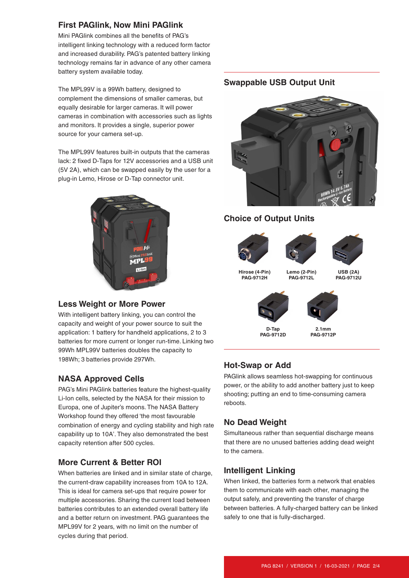# **First PAGlink, Now Mini PAGlink**

Mini PAGlink combines all the benefits of PAG's intelligent linking technology with a reduced form factor and increased durability. PAG's patented battery linking technology remains far in advance of any other camera battery system available today.

The MPL99V is a 99Wh battery, designed to complement the dimensions of smaller cameras, but equally desirable for larger cameras. It will power cameras in combination with accessories such as lights and monitors. It provides a single, superior power source for your camera set-up.

The MPL99V features built-in outputs that the cameras lack: 2 fixed D-Taps for 12V accessories and a USB unit (5V 2A), which can be swapped easily by the user for a plug-in Lemo, Hirose or D-Tap connector unit.



# **Less Weight or More Power**

With intelligent battery linking, you can control the capacity and weight of your power source to suit the application: 1 battery for handheld applications, 2 to 3 batteries for more current or longer run-time. Linking two 99Wh MPL99V batteries doubles the capacity to 198Wh; 3 batteries provide 297Wh.

# **NASA Approved Cells**

PAG's Mini PAGlink batteries feature the highest-quality Li-Ion cells, selected by the NASA for their mission to Europa, one of Jupiter's moons. The NASA Battery Workshop found they offered 'the most favourable combination of energy and cycling stability and high rate capability up to 10A'. They also demonstrated the best capacity retention after 500 cycles.

# **More Current & Better ROI**

When batteries are linked and in similar state of charge, the current-draw capability increases from 10A to 12A. This is ideal for camera set-ups that require power for multiple accessories. Sharing the current load between batteries contributes to an extended overall battery life and a better return on investment. PAG guarantees the MPL99V for 2 years, with no limit on the number of cycles during that period.

### **Swappable USB Output Unit**



# **Choice of Output Units**





**Lemo (2-Pin) PAG-9712L**



**Hirose (4-Pin) PAG-9712H**

**USB (2A) PAG-9712U**



**D-Tap PAG-9712D**

**2.1mm PAG-9712P**

# **Hot-Swap or Add**

PAGlink allows seamless hot-swapping for continuous power, or the ability to add another battery just to keep shooting; putting an end to time-consuming camera reboots.

# **No Dead Weight**

Simultaneous rather than sequential discharge means that there are no unused batteries adding dead weight to the camera.

#### **Intelligent Linking**

When linked, the batteries form a network that enables them to communicate with each other, managing the output safely, and preventing the transfer of charge between batteries. A fully-charged battery can be linked safely to one that is fully-discharged.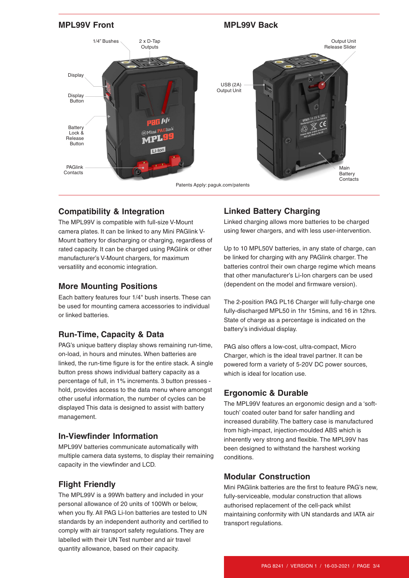

## **Compatibility & Integration**

The MPL99V is compatible with full-size V-Mount camera plates. It can be linked to any Mini PAGlink V-Mount battery for discharging or charging, regardless of rated capacity. It can be charged using PAGlink or other manufacturer's V-Mount chargers, for maximum versatility and economic integration.

### **More Mounting Positions**

Each battery features four 1/4" bush inserts. These can be used for mounting camera accessories to individual or linked batteries.

# **Run-Time, Capacity & Data**

PAG's unique battery display shows remaining run-time, on-load, in hours and minutes. When batteries are linked, the run-time figure is for the entire stack. A single button press shows individual battery capacity as a percentage of full, in 1% increments. 3 button presses hold, provides access to the data menu where amongst other useful information, the number of cycles can be displayed This data is designed to assist with battery management.

#### **In-Viewfinder Information**

MPL99V batteries communicate automatically with multiple camera data systems, to display their remaining capacity in the viewfinder and LCD.

#### **Flight Friendly**

The MPL99V is a 99Wh battery and included in your personal allowance of 20 units of 100Wh or below, when you fly. All PAG Li-Ion batteries are tested to UN standards by an independent authority and certified to comply with air transport safety regulations. They are labelled with their UN Test number and air travel quantity allowance, based on their capacity.

# **Linked Battery Charging**

Linked charging allows more batteries to be charged using fewer chargers, and with less user-intervention.

Up to 10 MPL50V batteries, in any state of charge, can be linked for charging with any PAGlink charger. The batteries control their own charge regime which means that other manufacturer's Li-Ion chargers can be used (dependent on the model and firmware version).

The 2-position PAG PL16 Charger will fully-charge one fully-discharged MPL50 in 1hr 15mins, and 16 in 12hrs. State of charge as a percentage is indicated on the battery's individual display.

PAG also offers a low-cost, ultra-compact, Micro Charger, which is the ideal travel partner. It can be powered form a variety of 5-20V DC power sources, which is ideal for location use.

# **Ergonomic & Durable**

The MPL99V features an ergonomic design and a 'softtouch' coated outer band for safer handling and increased durability. The battery case is manufactured from high-impact, injection-moulded ABS which is inherently very strong and flexible. The MPL99V has been designed to withstand the harshest working conditions.

# **Modular Construction**

Mini PAGlink batteries are the first to feature PAG's new, fully-serviceable, modular construction that allows authorised replacement of the cell-pack whilst maintaining conformity with UN standards and IATA air transport regulations.